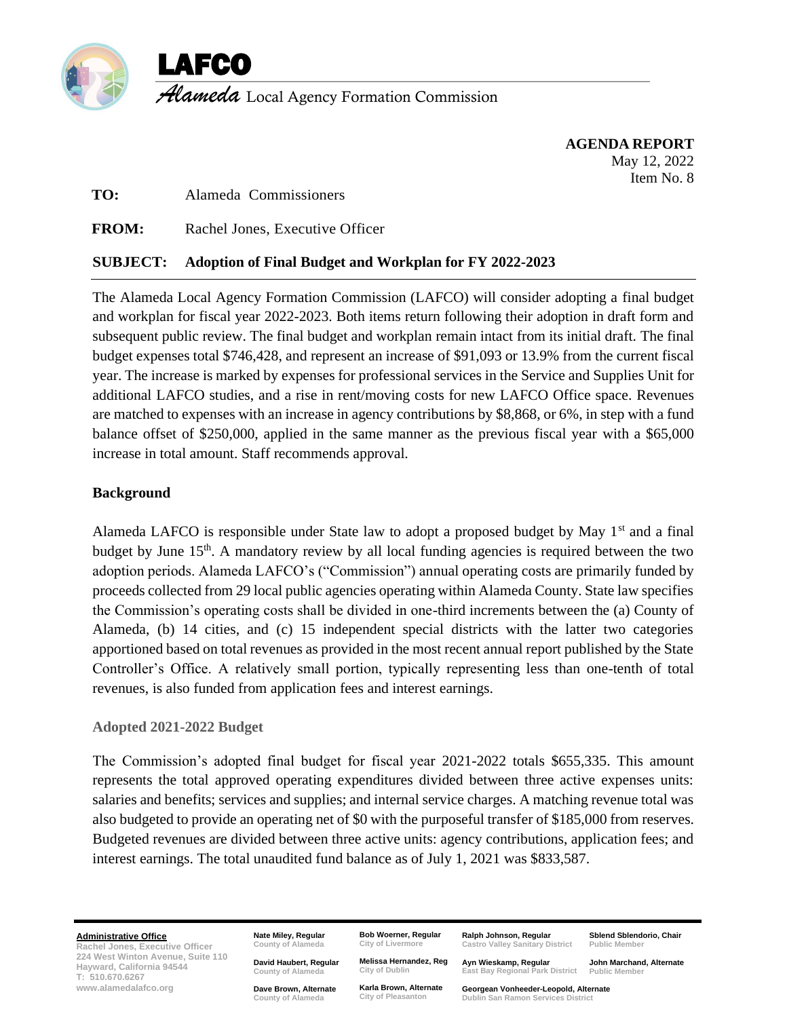



*Alameda* Local Agency Formation Commission

**AGENDA REPORT** May 12, 2022 Item No. 8

**TO:** Alameda Commissioners

**FROM:** Rachel Jones, Executive Officer

#### **SUBJECT: Adoption of Final Budget and Workplan for FY 2022-2023**

The Alameda Local Agency Formation Commission (LAFCO) will consider adopting a final budget and workplan for fiscal year 2022-2023. Both items return following their adoption in draft form and subsequent public review. The final budget and workplan remain intact from its initial draft. The final budget expenses total \$746,428, and represent an increase of \$91,093 or 13.9% from the current fiscal year. The increase is marked by expenses for professional services in the Service and Supplies Unit for additional LAFCO studies, and a rise in rent/moving costs for new LAFCO Office space. Revenues are matched to expenses with an increase in agency contributions by \$8,868, or 6%, in step with a fund balance offset of \$250,000, applied in the same manner as the previous fiscal year with a \$65,000 increase in total amount. Staff recommends approval.

#### **Background**

Alameda LAFCO is responsible under State law to adopt a proposed budget by May  $1<sup>st</sup>$  and a final budget by June 15<sup>th</sup>. A mandatory review by all local funding agencies is required between the two adoption periods. Alameda LAFCO's ("Commission") annual operating costs are primarily funded by proceeds collected from 29 local public agencies operating within Alameda County. State law specifies the Commission's operating costs shall be divided in one-third increments between the (a) County of Alameda, (b) 14 cities, and (c) 15 independent special districts with the latter two categories apportioned based on total revenues as provided in the most recent annual report published by the State Controller's Office. A relatively small portion, typically representing less than one-tenth of total revenues, is also funded from application fees and interest earnings.

#### **Adopted 2021-2022 Budget**

The Commission's adopted final budget for fiscal year 2021-2022 totals \$655,335. This amount represents the total approved operating expenditures divided between three active expenses units: salaries and benefits; services and supplies; and internal service charges. A matching revenue total was also budgeted to provide an operating net of \$0 with the purposeful transfer of \$185,000 from reserves. Budgeted revenues are divided between three active units: agency contributions, application fees; and interest earnings. The total unaudited fund balance as of July 1, 2021 was \$833,587.

#### **Administrative Office**

**Rachel Jones, Executive Officer 224 West Winton Avenue, Suite 110 Hayward, California 94544 T: 510.670.6267 www.alamedalafco.org**

**Nate Miley, Regular**

**County of Alameda David Haubert, Regular** 

**County of Alameda Dave Brown, Alternate County of Alameda** 

**Bob Woerner, Regular City of Livermore**

**Castro Valley Sanitary District Ayn Wieskamp, Regular** 

**Ralph Johnson, Regular** 

**Sblend Sblendorio, Chair Public Member John Marchand, Alternate Public Member** 

**Melissa Hernandez, Reg East Bay Regional Park District**

**Karla Brown, Alternate City of Pleasanton**

**City of Dublin**

**Georgean Vonheeder-Leopold, Alternate Dublin San Ramon Services District**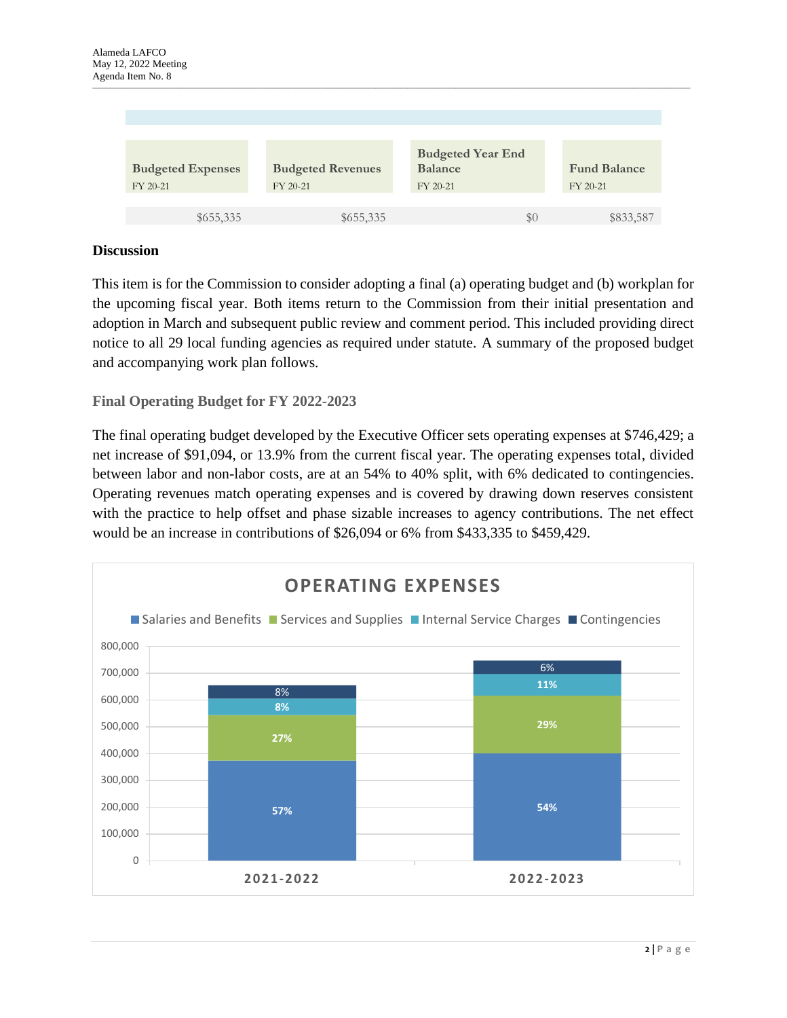

#### **Discussion**

This item is for the Commission to consider adopting a final (a) operating budget and (b) workplan for the upcoming fiscal year. Both items return to the Commission from their initial presentation and adoption in March and subsequent public review and comment period. This included providing direct notice to all 29 local funding agencies as required under statute. A summary of the proposed budget and accompanying work plan follows.

#### **Final Operating Budget for FY 2022-2023**

The final operating budget developed by the Executive Officer sets operating expenses at \$746,429; a net increase of \$91,094, or 13.9% from the current fiscal year. The operating expenses total, divided between labor and non-labor costs, are at an 54% to 40% split, with 6% dedicated to contingencies. Operating revenues match operating expenses and is covered by drawing down reserves consistent with the practice to help offset and phase sizable increases to agency contributions. The net effect would be an increase in contributions of \$26,094 or 6% from \$433,335 to \$459,429.

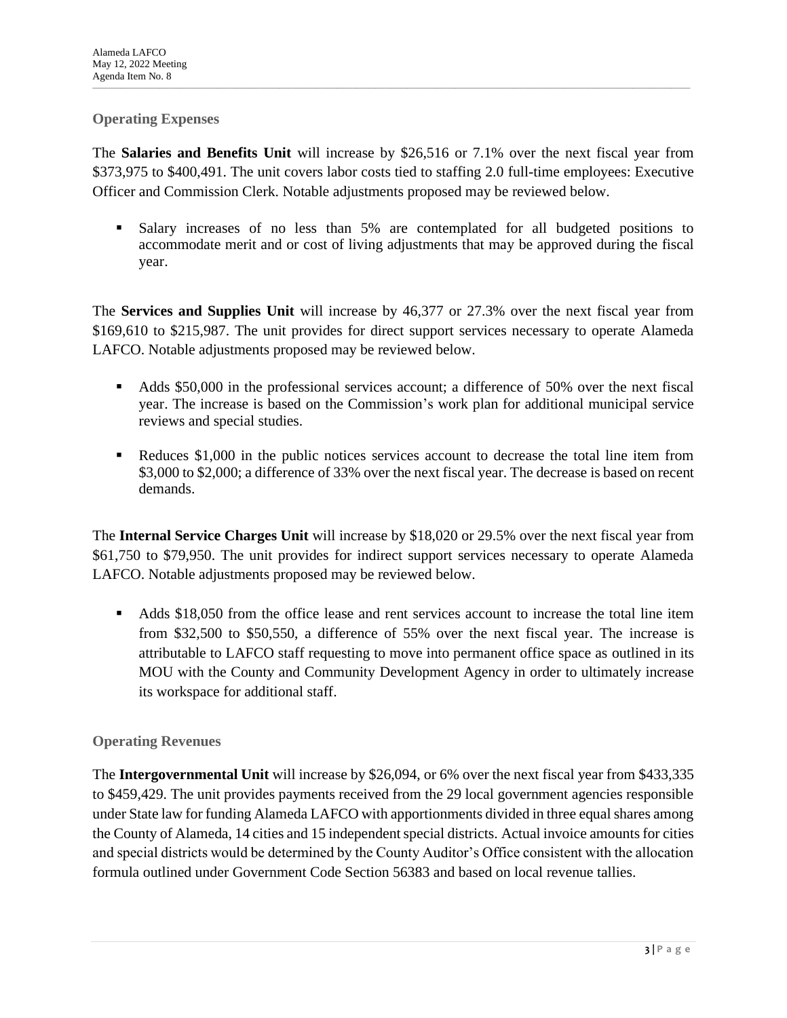#### **Operating Expenses**

The **Salaries and Benefits Unit** will increase by \$26,516 or 7.1% over the next fiscal year from \$373,975 to \$400,491. The unit covers labor costs tied to staffing 2.0 full-time employees: Executive Officer and Commission Clerk. Notable adjustments proposed may be reviewed below.

*\_\_\_\_\_\_\_\_\_\_\_\_\_\_\_\_\_\_\_\_\_\_\_\_\_\_\_\_\_\_\_\_\_\_\_\_\_\_\_\_\_\_\_\_\_\_\_\_\_\_\_\_\_\_\_\_\_\_\_\_\_\_\_\_\_\_\_\_\_\_\_\_\_\_\_\_\_\_\_\_\_\_\_\_\_\_\_\_\_\_\_\_\_\_\_\_\_\_\_\_\_\_\_\_\_\_\_\_\_\_\_\_\_\_\_\_\_\_\_\_\_\_\_\_\_\_\_\_\_\_\_\_\_\_\_\_\_\_\_\_\_\_\_\_\_\_\_\_\_\_\_\_\_\_\_\_\_\_\_\_\_\_\_\_\_\_\_\_\_\_\_\_\_\_\_\_\_\_\_\_\_\_\_\_\_\_* 

▪ Salary increases of no less than 5% are contemplated for all budgeted positions to accommodate merit and or cost of living adjustments that may be approved during the fiscal year.

The **Services and Supplies Unit** will increase by 46,377 or 27.3% over the next fiscal year from \$169,610 to \$215,987. The unit provides for direct support services necessary to operate Alameda LAFCO. Notable adjustments proposed may be reviewed below.

- Adds \$50,000 in the professional services account; a difference of 50% over the next fiscal year. The increase is based on the Commission's work plan for additional municipal service reviews and special studies.
- Reduces \$1,000 in the public notices services account to decrease the total line item from \$3,000 to \$2,000; a difference of 33% over the next fiscal year. The decrease is based on recent demands.

The **Internal Service Charges Unit** will increase by \$18,020 or 29.5% over the next fiscal year from \$61,750 to \$79,950. The unit provides for indirect support services necessary to operate Alameda LAFCO. Notable adjustments proposed may be reviewed below.

■ Adds \$18,050 from the office lease and rent services account to increase the total line item from \$32,500 to \$50,550, a difference of 55% over the next fiscal year. The increase is attributable to LAFCO staff requesting to move into permanent office space as outlined in its MOU with the County and Community Development Agency in order to ultimately increase its workspace for additional staff.

#### **Operating Revenues**

The **Intergovernmental Unit** will increase by \$26,094, or 6% over the next fiscal year from \$433,335 to \$459,429. The unit provides payments received from the 29 local government agencies responsible under State law for funding Alameda LAFCO with apportionments divided in three equal shares among the County of Alameda, 14 cities and 15 independent special districts. Actual invoice amounts for cities and special districts would be determined by the County Auditor's Office consistent with the allocation formula outlined under Government Code Section 56383 and based on local revenue tallies.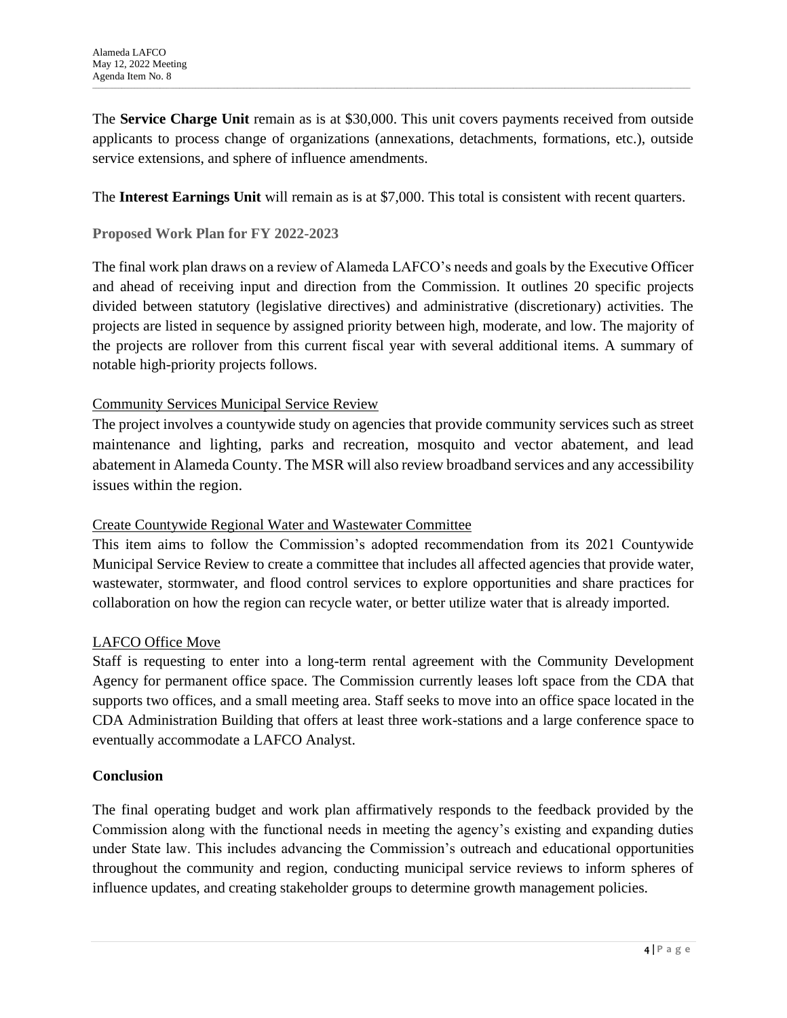The **Service Charge Unit** remain as is at \$30,000. This unit covers payments received from outside applicants to process change of organizations (annexations, detachments, formations, etc.), outside service extensions, and sphere of influence amendments.

*\_\_\_\_\_\_\_\_\_\_\_\_\_\_\_\_\_\_\_\_\_\_\_\_\_\_\_\_\_\_\_\_\_\_\_\_\_\_\_\_\_\_\_\_\_\_\_\_\_\_\_\_\_\_\_\_\_\_\_\_\_\_\_\_\_\_\_\_\_\_\_\_\_\_\_\_\_\_\_\_\_\_\_\_\_\_\_\_\_\_\_\_\_\_\_\_\_\_\_\_\_\_\_\_\_\_\_\_\_\_\_\_\_\_\_\_\_\_\_\_\_\_\_\_\_\_\_\_\_\_\_\_\_\_\_\_\_\_\_\_\_\_\_\_\_\_\_\_\_\_\_\_\_\_\_\_\_\_\_\_\_\_\_\_\_\_\_\_\_\_\_\_\_\_\_\_\_\_\_\_\_\_\_\_\_\_* 

The **Interest Earnings Unit** will remain as is at \$7,000. This total is consistent with recent quarters.

**Proposed Work Plan for FY 2022-2023**

The final work plan draws on a review of Alameda LAFCO's needs and goals by the Executive Officer and ahead of receiving input and direction from the Commission. It outlines 20 specific projects divided between statutory (legislative directives) and administrative (discretionary) activities. The projects are listed in sequence by assigned priority between high, moderate, and low. The majority of the projects are rollover from this current fiscal year with several additional items. A summary of notable high-priority projects follows.

#### Community Services Municipal Service Review

The project involves a countywide study on agencies that provide community services such as street maintenance and lighting, parks and recreation, mosquito and vector abatement, and lead abatement in Alameda County. The MSR will also review broadband services and any accessibility issues within the region.

#### Create Countywide Regional Water and Wastewater Committee

This item aims to follow the Commission's adopted recommendation from its 2021 Countywide Municipal Service Review to create a committee that includes all affected agencies that provide water, wastewater, stormwater, and flood control services to explore opportunities and share practices for collaboration on how the region can recycle water, or better utilize water that is already imported.

#### LAFCO Office Move

Staff is requesting to enter into a long-term rental agreement with the Community Development Agency for permanent office space. The Commission currently leases loft space from the CDA that supports two offices, and a small meeting area. Staff seeks to move into an office space located in the CDA Administration Building that offers at least three work-stations and a large conference space to eventually accommodate a LAFCO Analyst.

#### **Conclusion**

The final operating budget and work plan affirmatively responds to the feedback provided by the Commission along with the functional needs in meeting the agency's existing and expanding duties under State law. This includes advancing the Commission's outreach and educational opportunities throughout the community and region, conducting municipal service reviews to inform spheres of influence updates, and creating stakeholder groups to determine growth management policies.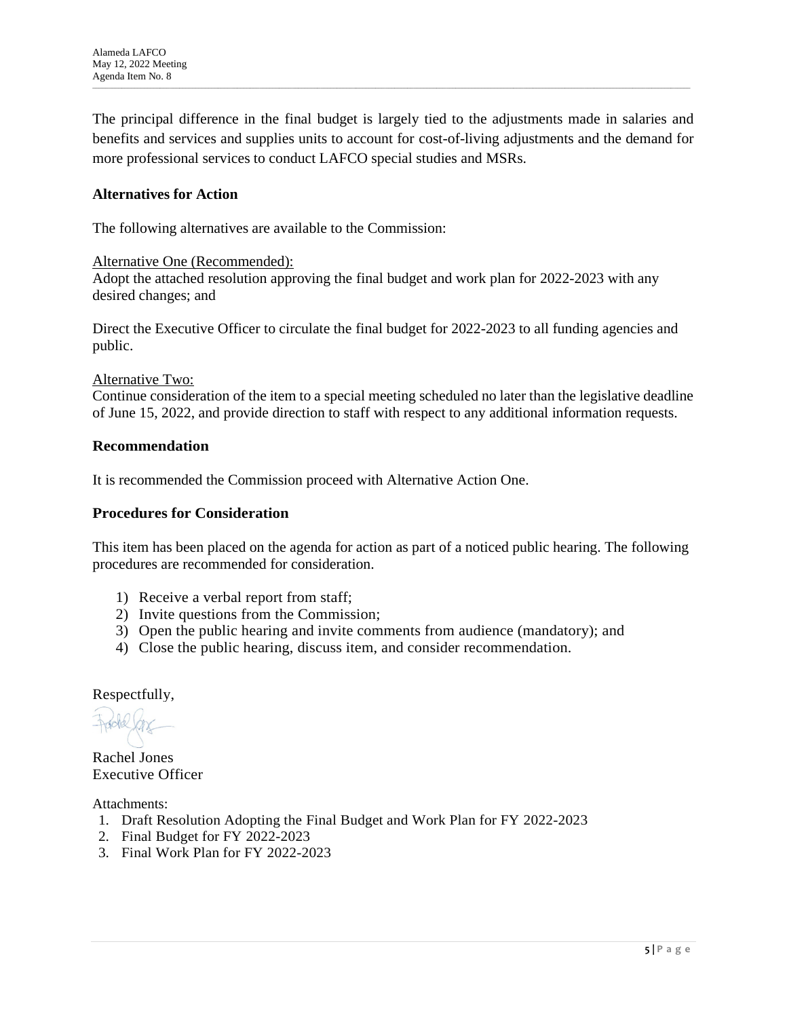The principal difference in the final budget is largely tied to the adjustments made in salaries and benefits and services and supplies units to account for cost-of-living adjustments and the demand for more professional services to conduct LAFCO special studies and MSRs.

*\_\_\_\_\_\_\_\_\_\_\_\_\_\_\_\_\_\_\_\_\_\_\_\_\_\_\_\_\_\_\_\_\_\_\_\_\_\_\_\_\_\_\_\_\_\_\_\_\_\_\_\_\_\_\_\_\_\_\_\_\_\_\_\_\_\_\_\_\_\_\_\_\_\_\_\_\_\_\_\_\_\_\_\_\_\_\_\_\_\_\_\_\_\_\_\_\_\_\_\_\_\_\_\_\_\_\_\_\_\_\_\_\_\_\_\_\_\_\_\_\_\_\_\_\_\_\_\_\_\_\_\_\_\_\_\_\_\_\_\_\_\_\_\_\_\_\_\_\_\_\_\_\_\_\_\_\_\_\_\_\_\_\_\_\_\_\_\_\_\_\_\_\_\_\_\_\_\_\_\_\_\_\_\_\_\_* 

#### **Alternatives for Action**

The following alternatives are available to the Commission:

#### Alternative One (Recommended):

Adopt the attached resolution approving the final budget and work plan for 2022-2023 with any desired changes; and

Direct the Executive Officer to circulate the final budget for 2022-2023 to all funding agencies and public.

#### Alternative Two:

Continue consideration of the item to a special meeting scheduled no later than the legislative deadline of June 15, 2022, and provide direction to staff with respect to any additional information requests.

#### **Recommendation**

It is recommended the Commission proceed with Alternative Action One.

#### **Procedures for Consideration**

This item has been placed on the agenda for action as part of a noticed public hearing. The following procedures are recommended for consideration.

- 1) Receive a verbal report from staff;
- 2) Invite questions from the Commission;
- 3) Open the public hearing and invite comments from audience (mandatory); and
- 4) Close the public hearing, discuss item, and consider recommendation.

Respectfully,

Foold for

Rachel Jones Executive Officer

Attachments:

- 1. Draft Resolution Adopting the Final Budget and Work Plan for FY 2022-2023
- 2. Final Budget for FY 2022-2023
- 3. Final Work Plan for FY 2022-2023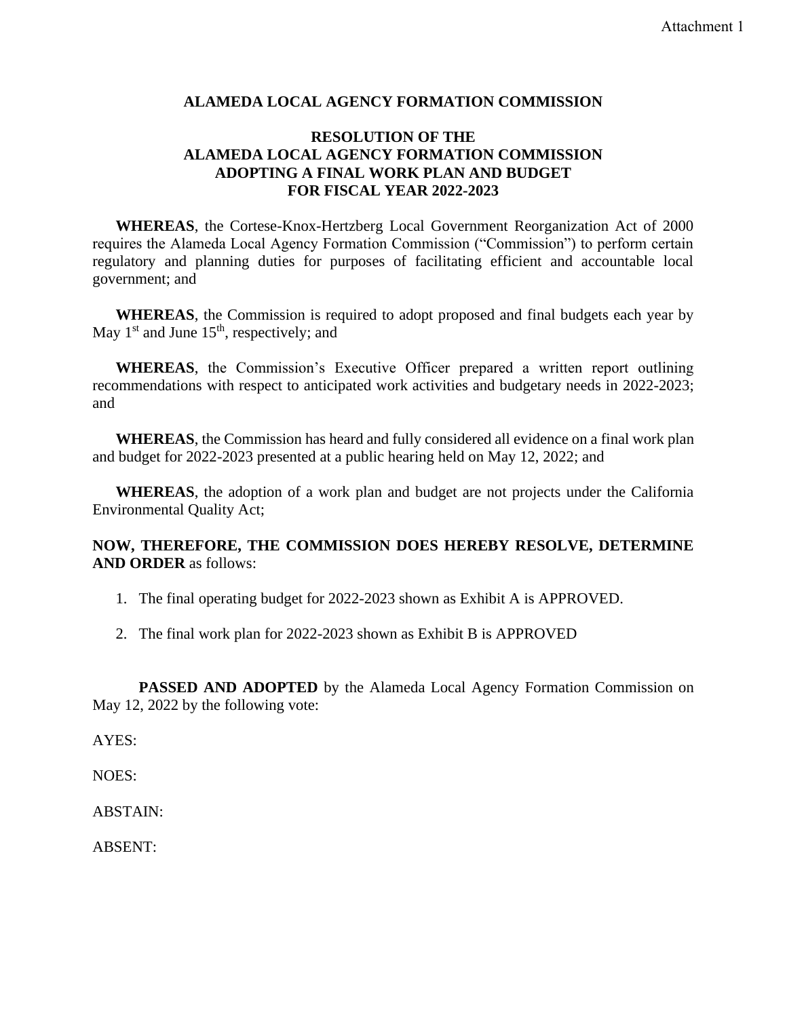#### **ALAMEDA LOCAL AGENCY FORMATION COMMISSION**

### **RESOLUTION OF THE ALAMEDA LOCAL AGENCY FORMATION COMMISSION ADOPTING A FINAL WORK PLAN AND BUDGET FOR FISCAL YEAR 2022-2023**

**WHEREAS**, the Cortese-Knox-Hertzberg Local Government Reorganization Act of 2000 requires the Alameda Local Agency Formation Commission ("Commission") to perform certain regulatory and planning duties for purposes of facilitating efficient and accountable local government; and

**WHEREAS**, the Commission is required to adopt proposed and final budgets each year by May  $1<sup>st</sup>$  and June  $15<sup>th</sup>$ , respectively; and

**WHEREAS**, the Commission's Executive Officer prepared a written report outlining recommendations with respect to anticipated work activities and budgetary needs in 2022-2023; and

**WHEREAS**, the Commission has heard and fully considered all evidence on a final work plan and budget for 2022-2023 presented at a public hearing held on May 12, 2022; and

**WHEREAS**, the adoption of a work plan and budget are not projects under the California Environmental Quality Act;

**NOW, THEREFORE, THE COMMISSION DOES HEREBY RESOLVE, DETERMINE AND ORDER** as follows:

- 1. The final operating budget for 2022-2023 shown as Exhibit A is APPROVED.
- 2. The final work plan for 2022-2023 shown as Exhibit B is APPROVED

**PASSED AND ADOPTED** by the Alameda Local Agency Formation Commission on May 12, 2022 by the following vote:

AYES:

NOES:

ABSTAIN:

ABSENT: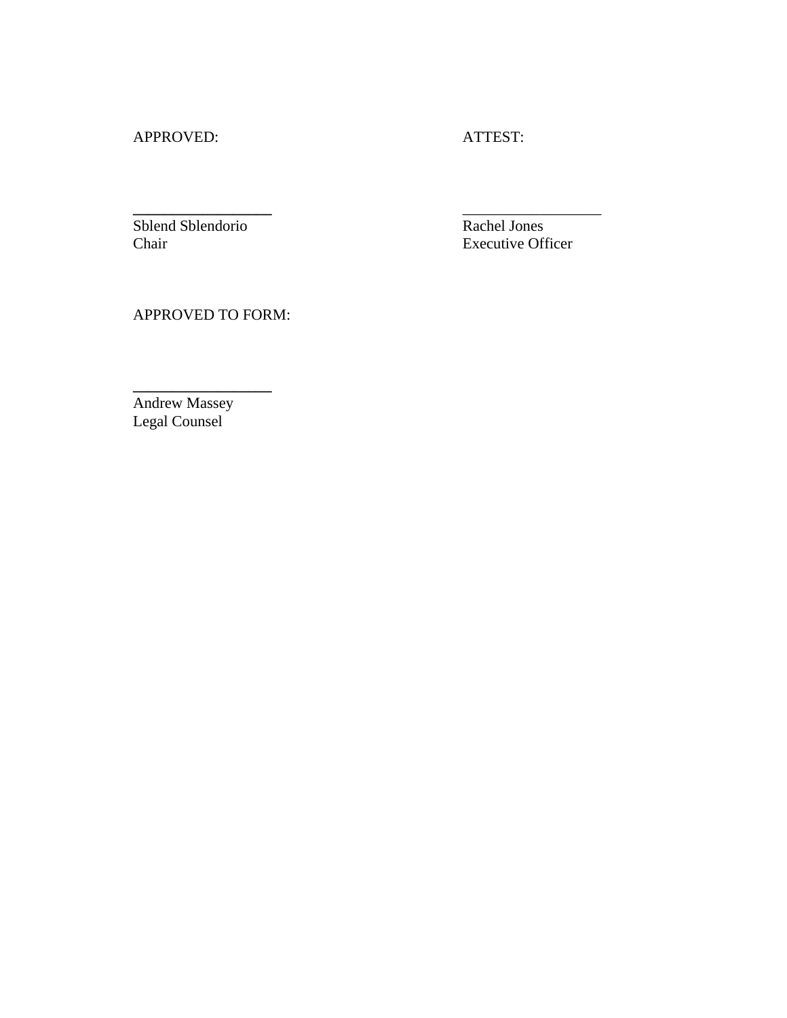APPROVED: ATTEST:

**\_\_\_\_\_\_\_\_\_\_\_\_\_\_\_\_\_\_** \_\_\_\_\_\_\_\_\_\_\_\_\_\_\_\_\_\_

Sblend Sblendorio Rachel Jones Chair Executive Officer

APPROVED TO FORM:

Andrew Massey Legal Counsel

**\_\_\_\_\_\_\_\_\_\_\_\_\_\_\_\_\_\_**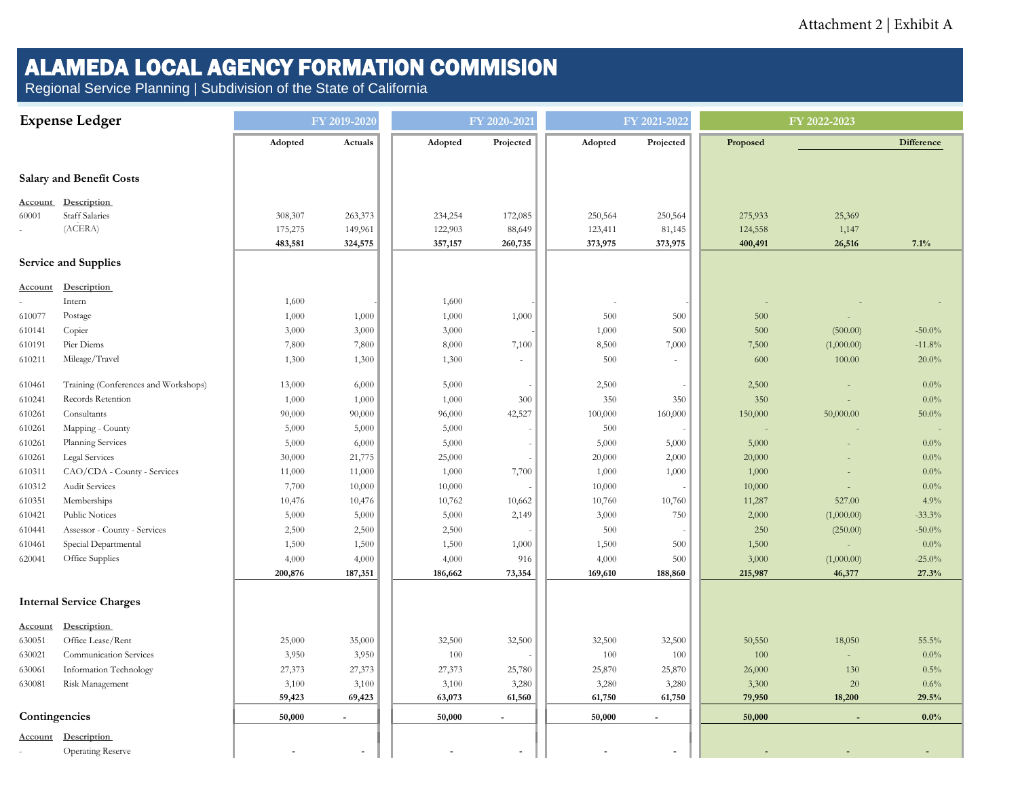# ALAMEDA LOCAL AGENCY FORMATION COMMISION

Regional Service Planning | Subdivision of the State of California

| <b>Expense Ledger</b>           |                                      | FY 2019-2020 |         | FY 2020-2021 |                          | FY 2021-2022 |           | FY 2022-2023             |                |                   |
|---------------------------------|--------------------------------------|--------------|---------|--------------|--------------------------|--------------|-----------|--------------------------|----------------|-------------------|
|                                 |                                      | Adopted      | Actuals | Adopted      | Projected                | Adopted      | Projected | Proposed                 |                | <b>Difference</b> |
|                                 |                                      |              |         |              |                          |              |           |                          |                |                   |
| <b>Salary and Benefit Costs</b> |                                      |              |         |              |                          |              |           |                          |                |                   |
| Account                         | Description                          |              |         |              |                          |              |           |                          |                |                   |
| 60001                           | <b>Staff Salaries</b>                | 308,307      | 263,373 | 234,254      | 172,085                  | 250,564      | 250,564   | 275,933                  | 25,369         |                   |
|                                 | (ACERA)                              | 175,275      | 149,961 | 122,903      | 88,649                   | 123,411      | 81,145    | 124,558                  | 1,147          |                   |
|                                 |                                      | 483,581      | 324,575 | 357,157      | 260,735                  | 373,975      | 373,975   | 400,491                  | 26,516         | 7.1%              |
|                                 | <b>Service and Supplies</b>          |              |         |              |                          |              |           |                          |                |                   |
| <u>Account</u>                  | Description                          |              |         |              |                          |              |           |                          |                |                   |
|                                 | Intern                               | 1,600        |         | 1,600        |                          |              |           |                          |                |                   |
| 610077                          | Postage                              | 1,000        | 1,000   | 1,000        | 1,000                    | 500          | 500       | 500                      |                |                   |
| 610141                          | Copier                               | 3,000        | 3,000   | 3,000        |                          | 1,000        | 500       | 500                      | (500.00)       | $-50.0\%$         |
| 610191                          | Pier Diems                           | 7,800        | 7,800   | 8,000        | 7,100                    | 8,500        | 7,000     | 7,500                    | (1,000.00)     | $-11.8%$          |
| 610211                          | Mileage/Travel                       | 1,300        | 1,300   | 1,300        |                          | 500          |           | 600                      | 100.00         | $20.0\%$          |
| 610461                          | Training (Conferences and Workshops) | 13,000       | 6,000   | 5,000        |                          | 2,500        |           | 2,500                    |                | $0.0\%$           |
| 610241                          | Records Retention                    | 1,000        | 1,000   | 1,000        | 300                      | 350          | 350       | 350                      |                | $0.0\%$           |
| 610261                          | Consultants                          | 90,000       | 90,000  | 96,000       | 42,527                   | 100,000      | 160,000   | 150,000                  | 50,000.00      | $50.0\%$          |
| 610261                          | Mapping - County                     | 5,000        | 5,000   | 5,000        |                          | 500          |           | $\overline{\phantom{a}}$ |                |                   |
| 610261                          | Planning Services                    | 5,000        | 6,000   | 5,000        |                          | 5,000        | 5,000     | 5,000                    |                | $0.0\%$           |
| 610261                          | <b>Legal Services</b>                | 30,000       | 21,775  | 25,000       |                          | 20,000       | 2,000     | 20,000                   |                | $0.0\%$           |
| 610311                          | CAO/CDA - County - Services          | 11,000       | 11,000  | 1,000        | 7,700                    | 1,000        | 1,000     | 1,000                    |                | $0.0\%$           |
| 610312                          | Audit Services                       | 7,700        | 10,000  | 10,000       |                          | 10,000       |           | 10,000                   |                | $0.0\%$           |
| 610351                          | Memberships                          | 10,476       | 10,476  | 10,762       | 10,662                   | 10,760       | 10,760    | 11,287                   | 527.00         | 4.9%              |
| 610421                          | Public Notices                       | 5,000        | 5,000   | 5,000        | 2,149                    | 3,000        | 750       | 2,000                    | (1,000.00)     | $-33.3%$          |
| 610441                          | Assessor - County - Services         | 2,500        | 2,500   | 2,500        |                          | 500          |           | 250                      | (250.00)       | $-50.0\%$         |
| 610461                          | Special Departmental                 | 1,500        | 1,500   | 1,500        | 1,000                    | 1,500        | 500       | 1,500                    | $\blacksquare$ | $0.0\%$           |
| 620041                          | Office Supplies                      | 4,000        | 4,000   | 4,000        | 916                      | 4,000        | 500       | 3,000                    | (1,000.00)     | $-25.0%$          |
|                                 |                                      | 200,876      | 187,351 | 186,662      | 73,354                   | 169,610      | 188,860   | 215,987                  | 46,377         | 27.3%             |
|                                 | <b>Internal Service Charges</b>      |              |         |              |                          |              |           |                          |                |                   |
| <b>Account</b>                  | Description                          |              |         |              |                          |              |           |                          |                |                   |
| 630051                          | Office Lease/Rent                    | 25,000       | 35,000  | 32,500       | 32,500                   | 32,500       | 32,500    | 50,550                   | 18,050         | 55.5%             |
| 630021                          | Communication Services               | 3,950        | 3,950   | 100          |                          | 100          | 100       | 100                      |                | $0.0\%$           |
| 630061                          | Information Technology               | 27,373       | 27,373  | 27,373       | 25,780                   | 25,870       | 25,870    | 26,000                   | 130            | 0.5%              |
| 630081                          | Risk Management                      | 3,100        | 3,100   | 3,100        | 3,280                    | 3,280        | 3,280     | 3,300                    | 20             | 0.6%              |
|                                 |                                      | 59,423       | 69,423  | 63,073       | 61,560                   | 61,750       | 61,750    | 79,950                   | 18,200         | 29.5%             |
| Contingencies                   |                                      | 50,000       | $\sim$  | 50,000       | $\overline{\phantom{a}}$ | 50,000       | $\sim$    | 50,000                   |                | 0.0%              |
| <u>Account</u>                  | Description                          |              |         |              |                          |              |           |                          |                |                   |
|                                 | <b>Operating Reserve</b>             |              |         |              |                          |              |           |                          |                |                   |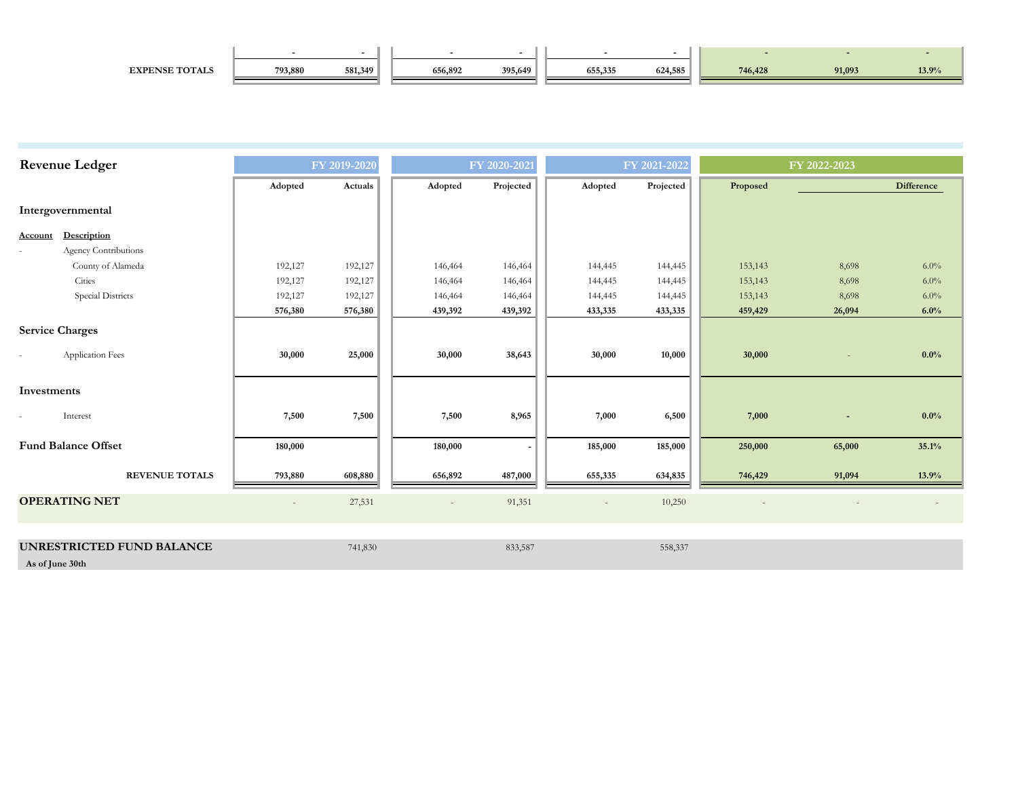| <b>EXPENSE TOTALS</b> | 793,880 | 581,349 | 656,892 | 395,649 | 655,335 | 624,585 | 746,428 | 91,093 | 13.9% |
|-----------------------|---------|---------|---------|---------|---------|---------|---------|--------|-------|
|                       |         |         |         |         |         |         |         |        |       |

| <b>Revenue Ledger</b>      | FY 2019-2020 |         | FY 2020-2021 |                          | FY 2021-2022             |           | FY 2022-2023 |        |                   |
|----------------------------|--------------|---------|--------------|--------------------------|--------------------------|-----------|--------------|--------|-------------------|
|                            | Adopted      | Actuals | Adopted      | Projected                | Adopted                  | Projected | Proposed     |        | <b>Difference</b> |
| Intergovernmental          |              |         |              |                          |                          |           |              |        |                   |
| Description<br>Account     |              |         |              |                          |                          |           |              |        |                   |
| Agency Contributions       |              |         |              |                          |                          |           |              |        |                   |
| County of Alameda          | 192,127      | 192,127 | 146,464      | 146,464                  | 144,445                  | 144,445   | 153,143      | 8,698  | $6.0\%$           |
| Cities                     | 192,127      | 192,127 | 146,464      | 146,464                  | 144,445                  | 144,445   | 153,143      | 8,698  | $6.0\%$           |
| Special Districts          | 192,127      | 192,127 | 146,464      | 146,464                  | 144,445                  | 144,445   | 153,143      | 8,698  | $6.0\%$           |
|                            | 576,380      | 576,380 | 439,392      | 439,392                  | 433,335                  | 433,335   | 459,429      | 26,094 | 6.0%              |
| <b>Service Charges</b>     |              |         |              |                          |                          |           |              |        |                   |
| Application Fees           | 30,000       | 25,000  | 30,000       | 38,643                   | 30,000                   | 10,000    | 30,000       |        | $0.0\%$           |
|                            |              |         |              |                          |                          |           |              |        |                   |
| Interest                   | 7,500        | 7,500   | 7,500        | 8,965                    | 7,000                    | 6,500     | 7,000        |        | $0.0\%$           |
| <b>Fund Balance Offset</b> | 180,000      |         | 180,000      | $\overline{\phantom{a}}$ | 185,000                  | 185,000   | 250,000      | 65,000 | 35.1%             |
| <b>REVENUE TOTALS</b>      | 793,880      | 608,880 | 656,892      | 487,000                  | 655,335                  | 634,835   | 746,429      | 91,094 | 13.9%             |
| <b>OPERATING NET</b>       |              | 27,531  |              | 91,351                   | $\overline{\phantom{a}}$ | 10,250    |              |        |                   |
|                            |              |         |              |                          |                          |           |              |        |                   |

| UNRESTRICTED FUND BALANCE | 741,830 | 833,587 | 558,337 |
|---------------------------|---------|---------|---------|
| As of June 30th           |         |         |         |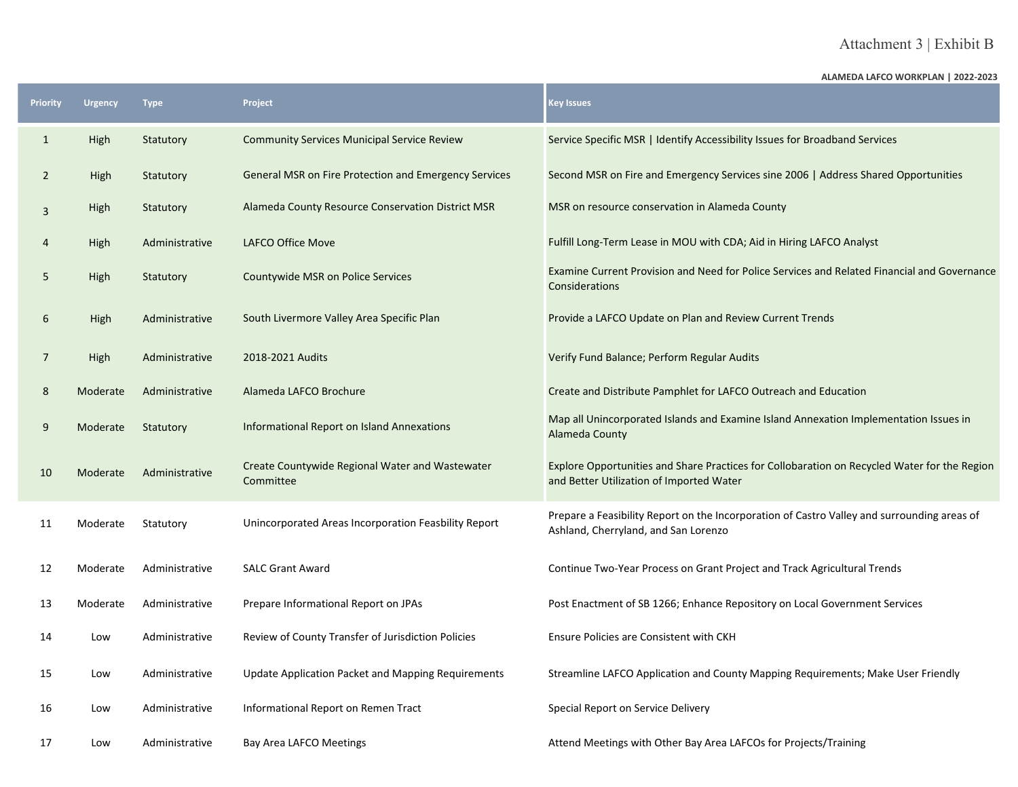## Attachment 3 | Exhibit B

#### **ALAMEDA LAFCO WORKPLAN | 2022-2023**

| <b>Priority</b> | <b>Urgency</b> | <b>Type</b>    | Project                                                      | <b>Key Issues</b>                                                                                                                        |
|-----------------|----------------|----------------|--------------------------------------------------------------|------------------------------------------------------------------------------------------------------------------------------------------|
| $\mathbf{1}$    | High           | Statutory      | <b>Community Services Municipal Service Review</b>           | Service Specific MSR   Identify Accessibility Issues for Broadband Services                                                              |
| $\overline{2}$  | High           | Statutory      | <b>General MSR on Fire Protection and Emergency Services</b> | Second MSR on Fire and Emergency Services sine 2006   Address Shared Opportunities                                                       |
| 3               | High           | Statutory      | Alameda County Resource Conservation District MSR            | MSR on resource conservation in Alameda County                                                                                           |
| 4               | High           | Administrative | LAFCO Office Move                                            | Fulfill Long-Term Lease in MOU with CDA; Aid in Hiring LAFCO Analyst                                                                     |
| 5               | High           | Statutory      | Countywide MSR on Police Services                            | Examine Current Provision and Need for Police Services and Related Financial and Governance<br>Considerations                            |
| 6               | High           | Administrative | South Livermore Valley Area Specific Plan                    | Provide a LAFCO Update on Plan and Review Current Trends                                                                                 |
| $\overline{7}$  | High           | Administrative | 2018-2021 Audits                                             | Verify Fund Balance; Perform Regular Audits                                                                                              |
| 8               | Moderate       | Administrative | Alameda LAFCO Brochure                                       | Create and Distribute Pamphlet for LAFCO Outreach and Education                                                                          |
| 9               | Moderate       | Statutory      | Informational Report on Island Annexations                   | Map all Unincorporated Islands and Examine Island Annexation Implementation Issues in<br>Alameda County                                  |
| 10              | Moderate       | Administrative | Create Countywide Regional Water and Wastewater<br>Committee | Explore Opportunities and Share Practices for Collobaration on Recycled Water for the Region<br>and Better Utilization of Imported Water |
| 11              | Moderate       | Statutory      | Unincorporated Areas Incorporation Feasbility Report         | Prepare a Feasibility Report on the Incorporation of Castro Valley and surrounding areas of<br>Ashland, Cherryland, and San Lorenzo      |
| 12              | Moderate       | Administrative | <b>SALC Grant Award</b>                                      | Continue Two-Year Process on Grant Project and Track Agricultural Trends                                                                 |
| 13              | Moderate       | Administrative | Prepare Informational Report on JPAs                         | Post Enactment of SB 1266; Enhance Repository on Local Government Services                                                               |
| 14              | Low            | Administrative | Review of County Transfer of Jurisdiction Policies           | Ensure Policies are Consistent with CKH                                                                                                  |
| 15              | Low            | Administrative | Update Application Packet and Mapping Requirements           | Streamline LAFCO Application and County Mapping Requirements; Make User Friendly                                                         |
| 16              | Low            | Administrative | Informational Report on Remen Tract                          | Special Report on Service Delivery                                                                                                       |
| 17              | Low            | Administrative | Bay Area LAFCO Meetings                                      | Attend Meetings with Other Bay Area LAFCOs for Projects/Training                                                                         |